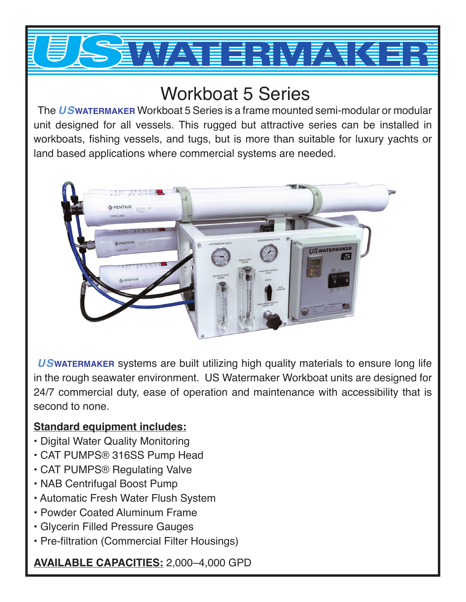

## Workboat 5 Series

 The *US***WATERMAKER** Workboat 5 Series is a frame mounted semi-modular or modular unit designed for all vessels. This rugged but attractive series can be installed in workboats, fishing vessels, and tugs, but is more than suitable for luxury yachts or land based applications where commercial systems are needed.



*US***WATERMAKER** systems are built utilizing high quality materials to ensure long life in the rough seawater environment. US Watermaker Workboat units are designed for 24/7 commercial duty, ease of operation and maintenance with accessibility that is second to none.

## **Standard equipment includes:**

- Digital Water Quality Monitoring
- CAT PUMPS® 316SS Pump Head
- CAT PUMPS® Regulating Valve
- NAB Centrifugal Boost Pump
- Automatic Fresh Water Flush System
- Powder Coated Aluminum Frame
- Glycerin Filled Pressure Gauges
- Pre-filtration (Commercial Filter Housings)

**AVAILABLE CAPACITIES:** 2,000–4,000 GPD